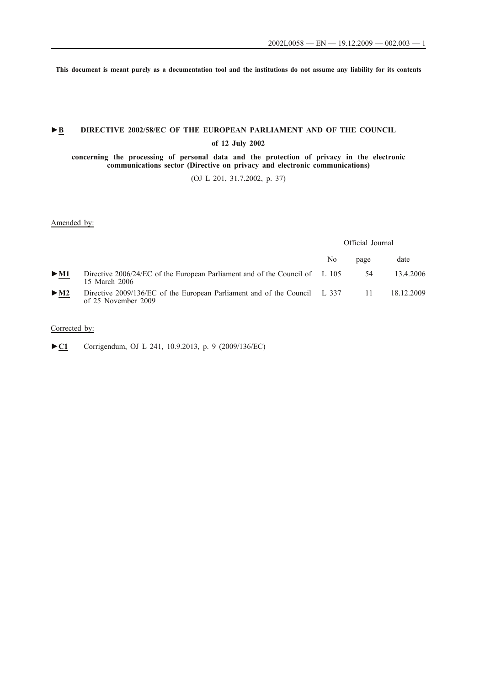**This document is meant purely as a documentation tool and the institutions do not assume any liability for its contents**

# ►**B** DIRECTIVE 2002/58/EC OF THE EUROPEAN PARLIAMENT AND OF THE COUNCIL **of 12 July 2002**

**concerning the processing of personal data and the protection of privacy in the electronic communications sector (Directive on privacy and electronic communications)**

(OJ L 201, 31.7.2002, p. 37)

### Amended by:

|    | Official Journal                                                            |                                                                              |
|----|-----------------------------------------------------------------------------|------------------------------------------------------------------------------|
| No | page                                                                        | date                                                                         |
|    | - 54                                                                        | 13.4.2006                                                                    |
|    |                                                                             | 18.12.2009                                                                   |
|    | Directive 2006/24/EC of the European Parliament and of the Council of L 105 | Directive 2009/136/EC of the European Parliament and of the Council L 337 11 |

Corrected by:

►**C1** Corrigendum, OJ L 241, 10.9.2013, p. 9 (2009/136/EC)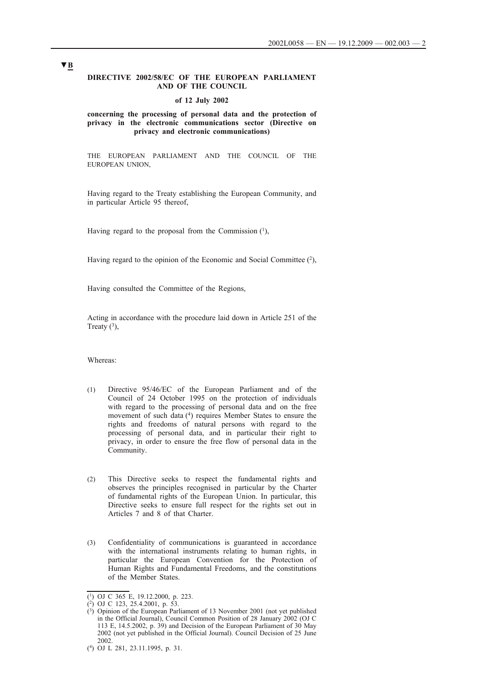#### **DIRECTIVE 2002/58/EC OF THE EUROPEAN PARLIAMENT AND OF THE COUNCIL**

#### **of 12 July 2002**

### **concerning the processing of personal data and the protection of privacy in the electronic communications sector (Directive on privacy and electronic communications)**

THE EUROPEAN PARLIAMENT AND THE COUNCIL OF THE EUROPEAN UNION,

Having regard to the Treaty establishing the European Community, and in particular Article 95 thereof,

Having regard to the proposal from the Commission  $(1)$ ,

Having regard to the opinion of the Economic and Social Committee  $(2)$ ,

Having consulted the Committee of the Regions,

Acting in accordance with the procedure laid down in Article 251 of the Treaty  $(3)$ ,

#### Whereas:

- (1) Directive 95/46/EC of the European Parliament and of the Council of 24 October 1995 on the protection of individuals with regard to the processing of personal data and on the free movement of such data (4) requires Member States to ensure the rights and freedoms of natural persons with regard to the processing of personal data, and in particular their right to privacy, in order to ensure the free flow of personal data in the Community.
- (2) This Directive seeks to respect the fundamental rights and observes the principles recognised in particular by the Charter of fundamental rights of the European Union. In particular, this Directive seeks to ensure full respect for the rights set out in Articles 7 and 8 of that Charter.
- (3) Confidentiality of communications is guaranteed in accordance with the international instruments relating to human rights, in particular the European Convention for the Protection of Human Rights and Fundamental Freedoms, and the constitutions of the Member States.

<sup>(1)</sup> OJ C 365 E, 19.12.2000, p. 223.

<sup>(2)</sup> OJ C 123, 25.4.2001, p. 53.

 $(3)$  Opinion of the European Parliament of 13 November 2001 (not yet published in the Official Journal), Council Common Position of 28 January 2002 (OJ C 113 E, 14.5.2002, p. 39) and Decision of the European Parliament of 30 May 2002 (not yet published in the Official Journal). Council Decision of 25 June 2002.

<sup>(4)</sup> OJ L 281, 23.11.1995, p. 31.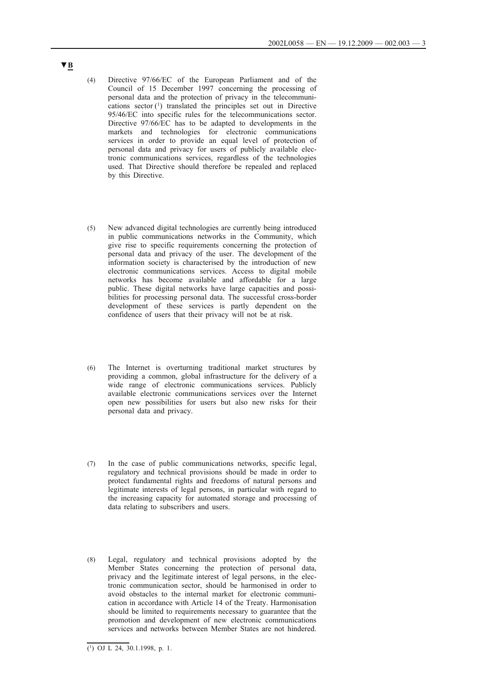- (4) Directive 97/66/EC of the European Parliament and of the Council of 15 December 1997 concerning the processing of personal data and the protection of privacy in the telecommunications sector (1) translated the principles set out in Directive 95/46/EC into specific rules for the telecommunications sector. Directive 97/66/EC has to be adapted to developments in the markets and technologies for electronic communications services in order to provide an equal level of protection of personal data and privacy for users of publicly available electronic communications services, regardless of the technologies used. That Directive should therefore be repealed and replaced by this Directive.
- (5) New advanced digital technologies are currently being introduced in public communications networks in the Community, which give rise to specific requirements concerning the protection of personal data and privacy of the user. The development of the information society is characterised by the introduction of new electronic communications services. Access to digital mobile networks has become available and affordable for a large public. These digital networks have large capacities and possibilities for processing personal data. The successful cross-border development of these services is partly dependent on the confidence of users that their privacy will not be at risk.
- (6) The Internet is overturning traditional market structures by providing a common, global infrastructure for the delivery of a wide range of electronic communications services. Publicly available electronic communications services over the Internet open new possibilities for users but also new risks for their personal data and privacy.
- (7) In the case of public communications networks, specific legal, regulatory and technical provisions should be made in order to protect fundamental rights and freedoms of natural persons and legitimate interests of legal persons, in particular with regard to the increasing capacity for automated storage and processing of data relating to subscribers and users.
- (8) Legal, regulatory and technical provisions adopted by the Member States concerning the protection of personal data, privacy and the legitimate interest of legal persons, in the electronic communication sector, should be harmonised in order to avoid obstacles to the internal market for electronic communication in accordance with Article 14 of the Treaty. Harmonisation should be limited to requirements necessary to guarantee that the promotion and development of new electronic communications services and networks between Member States are not hindered.

 $(1)$  OJ L 24, 30.1.1998, p. 1.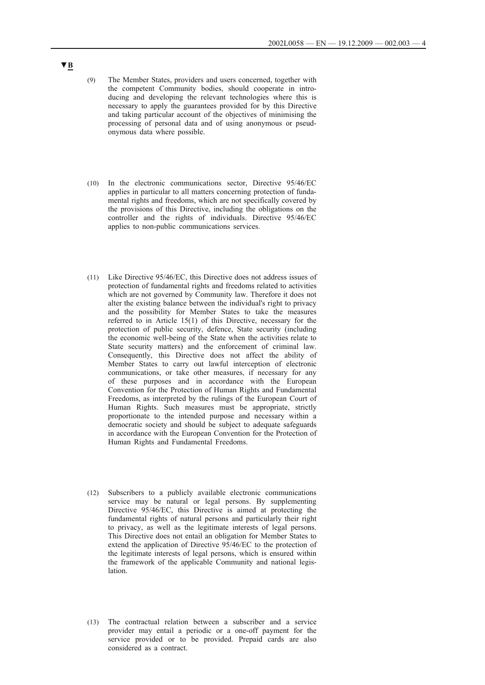- (9) The Member States, providers and users concerned, together with the competent Community bodies, should cooperate in introducing and developing the relevant technologies where this is necessary to apply the guarantees provided for by this Directive and taking particular account of the objectives of minimising the processing of personal data and of using anonymous or pseudonymous data where possible.
- (10) In the electronic communications sector, Directive 95/46/EC applies in particular to all matters concerning protection of fundamental rights and freedoms, which are not specifically covered by the provisions of this Directive, including the obligations on the controller and the rights of individuals. Directive 95/46/EC applies to non-public communications services.
- (11) Like Directive 95/46/EC, this Directive does not address issues of protection of fundamental rights and freedoms related to activities which are not governed by Community law. Therefore it does not alter the existing balance between the individual's right to privacy and the possibility for Member States to take the measures referred to in Article 15(1) of this Directive, necessary for the protection of public security, defence, State security (including the economic well-being of the State when the activities relate to State security matters) and the enforcement of criminal law. Consequently, this Directive does not affect the ability of Member States to carry out lawful interception of electronic communications, or take other measures, if necessary for any of these purposes and in accordance with the European Convention for the Protection of Human Rights and Fundamental Freedoms, as interpreted by the rulings of the European Court of Human Rights. Such measures must be appropriate, strictly proportionate to the intended purpose and necessary within a democratic society and should be subject to adequate safeguards in accordance with the European Convention for the Protection of Human Rights and Fundamental Freedoms.
- (12) Subscribers to a publicly available electronic communications service may be natural or legal persons. By supplementing Directive 95/46/EC, this Directive is aimed at protecting the fundamental rights of natural persons and particularly their right to privacy, as well as the legitimate interests of legal persons. This Directive does not entail an obligation for Member States to extend the application of Directive 95/46/EC to the protection of the legitimate interests of legal persons, which is ensured within the framework of the applicable Community and national legislation.
- (13) The contractual relation between a subscriber and a service provider may entail a periodic or a one-off payment for the service provided or to be provided. Prepaid cards are also considered as a contract.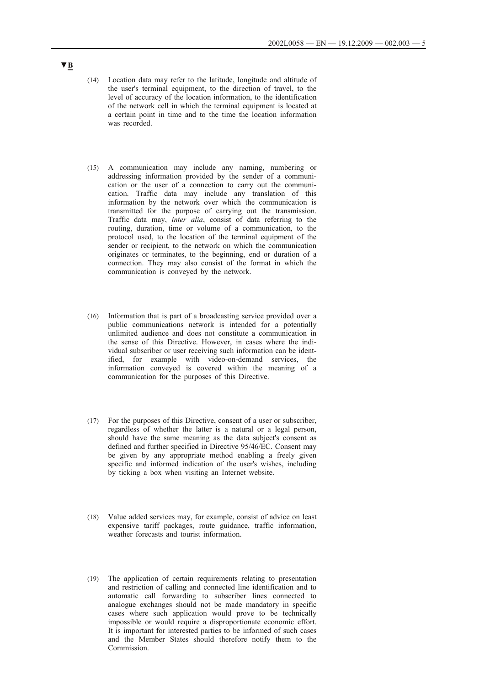- (14) Location data may refer to the latitude, longitude and altitude of the user's terminal equipment, to the direction of travel, to the level of accuracy of the location information, to the identification of the network cell in which the terminal equipment is located at a certain point in time and to the time the location information was recorded
- (15) A communication may include any naming, numbering or addressing information provided by the sender of a communication or the user of a connection to carry out the communication. Traffic data may include any translation of this information by the network over which the communication is transmitted for the purpose of carrying out the transmission. Traffic data may, *inter alia*, consist of data referring to the routing, duration, time or volume of a communication, to the protocol used, to the location of the terminal equipment of the sender or recipient, to the network on which the communication originates or terminates, to the beginning, end or duration of a connection. They may also consist of the format in which the communication is conveyed by the network.
- (16) Information that is part of a broadcasting service provided over a public communications network is intended for a potentially unlimited audience and does not constitute a communication in the sense of this Directive. However, in cases where the individual subscriber or user receiving such information can be identified, for example with video-on-demand services, the information conveyed is covered within the meaning of a communication for the purposes of this Directive.
- (17) For the purposes of this Directive, consent of a user or subscriber, regardless of whether the latter is a natural or a legal person, should have the same meaning as the data subject's consent as defined and further specified in Directive 95/46/EC. Consent may be given by any appropriate method enabling a freely given specific and informed indication of the user's wishes, including by ticking a box when visiting an Internet website.
- (18) Value added services may, for example, consist of advice on least expensive tariff packages, route guidance, traffic information, weather forecasts and tourist information.
- (19) The application of certain requirements relating to presentation and restriction of calling and connected line identification and to automatic call forwarding to subscriber lines connected to analogue exchanges should not be made mandatory in specific cases where such application would prove to be technically impossible or would require a disproportionate economic effort. It is important for interested parties to be informed of such cases and the Member States should therefore notify them to the Commission.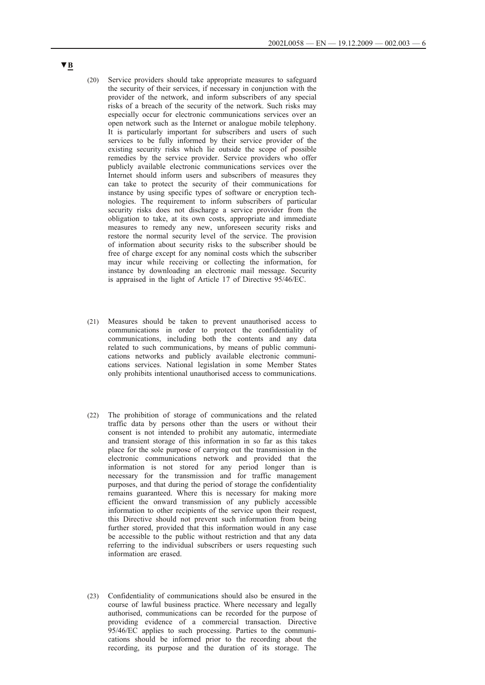- (20) Service providers should take appropriate measures to safeguard the security of their services, if necessary in conjunction with the provider of the network, and inform subscribers of any special risks of a breach of the security of the network. Such risks may especially occur for electronic communications services over an open network such as the Internet or analogue mobile telephony. It is particularly important for subscribers and users of such services to be fully informed by their service provider of the existing security risks which lie outside the scope of possible remedies by the service provider. Service providers who offer publicly available electronic communications services over the Internet should inform users and subscribers of measures they can take to protect the security of their communications for instance by using specific types of software or encryption technologies. The requirement to inform subscribers of particular security risks does not discharge a service provider from the obligation to take, at its own costs, appropriate and immediate measures to remedy any new, unforeseen security risks and restore the normal security level of the service. The provision of information about security risks to the subscriber should be free of charge except for any nominal costs which the subscriber may incur while receiving or collecting the information, for instance by downloading an electronic mail message. Security is appraised in the light of Article 17 of Directive 95/46/EC.
- (21) Measures should be taken to prevent unauthorised access to communications in order to protect the confidentiality of communications, including both the contents and any data related to such communications, by means of public communications networks and publicly available electronic communications services. National legislation in some Member States only prohibits intentional unauthorised access to communications.
- (22) The prohibition of storage of communications and the related traffic data by persons other than the users or without their consent is not intended to prohibit any automatic, intermediate and transient storage of this information in so far as this takes place for the sole purpose of carrying out the transmission in the electronic communications network and provided that the information is not stored for any period longer than is necessary for the transmission and for traffic management purposes, and that during the period of storage the confidentiality remains guaranteed. Where this is necessary for making more efficient the onward transmission of any publicly accessible information to other recipients of the service upon their request, this Directive should not prevent such information from being further stored, provided that this information would in any case be accessible to the public without restriction and that any data referring to the individual subscribers or users requesting such information are erased.
- (23) Confidentiality of communications should also be ensured in the course of lawful business practice. Where necessary and legally authorised, communications can be recorded for the purpose of providing evidence of a commercial transaction. Directive 95/46/EC applies to such processing. Parties to the communications should be informed prior to the recording about the recording, its purpose and the duration of its storage. The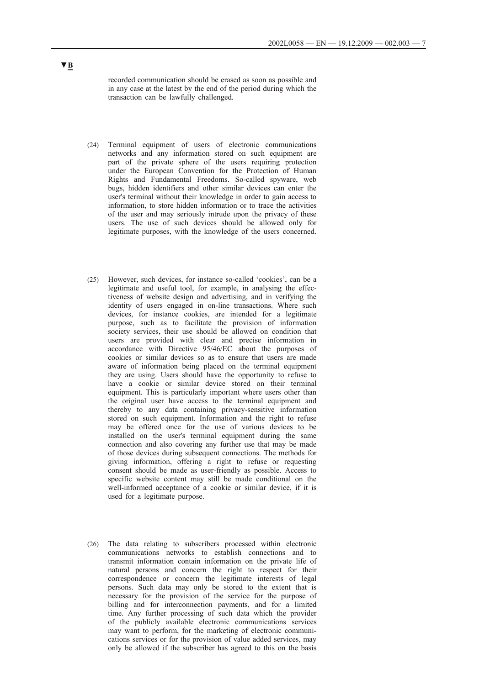recorded communication should be erased as soon as possible and in any case at the latest by the end of the period during which the transaction can be lawfully challenged.

- (24) Terminal equipment of users of electronic communications networks and any information stored on such equipment are part of the private sphere of the users requiring protection under the European Convention for the Protection of Human Rights and Fundamental Freedoms. So-called spyware, web bugs, hidden identifiers and other similar devices can enter the user's terminal without their knowledge in order to gain access to information, to store hidden information or to trace the activities of the user and may seriously intrude upon the privacy of these users. The use of such devices should be allowed only for legitimate purposes, with the knowledge of the users concerned.
- (25) However, such devices, for instance so-called 'cookies', can be a legitimate and useful tool, for example, in analysing the effectiveness of website design and advertising, and in verifying the identity of users engaged in on-line transactions. Where such devices, for instance cookies, are intended for a legitimate purpose, such as to facilitate the provision of information society services, their use should be allowed on condition that users are provided with clear and precise information in accordance with Directive 95/46/EC about the purposes of cookies or similar devices so as to ensure that users are made aware of information being placed on the terminal equipment they are using. Users should have the opportunity to refuse to have a cookie or similar device stored on their terminal equipment. This is particularly important where users other than the original user have access to the terminal equipment and thereby to any data containing privacy-sensitive information stored on such equipment. Information and the right to refuse may be offered once for the use of various devices to be installed on the user's terminal equipment during the same connection and also covering any further use that may be made of those devices during subsequent connections. The methods for giving information, offering a right to refuse or requesting consent should be made as user-friendly as possible. Access to specific website content may still be made conditional on the well-informed acceptance of a cookie or similar device, if it is used for a legitimate purpose.
- (26) The data relating to subscribers processed within electronic communications networks to establish connections and to transmit information contain information on the private life of natural persons and concern the right to respect for their correspondence or concern the legitimate interests of legal persons. Such data may only be stored to the extent that is necessary for the provision of the service for the purpose of billing and for interconnection payments, and for a limited time. Any further processing of such data which the provider of the publicly available electronic communications services may want to perform, for the marketing of electronic communications services or for the provision of value added services, may only be allowed if the subscriber has agreed to this on the basis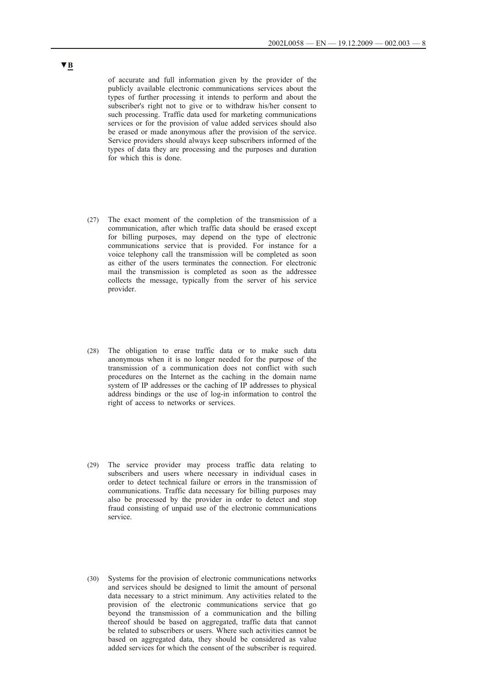of accurate and full information given by the provider of the publicly available electronic communications services about the types of further processing it intends to perform and about the subscriber's right not to give or to withdraw his/her consent to such processing. Traffic data used for marketing communications services or for the provision of value added services should also be erased or made anonymous after the provision of the service. Service providers should always keep subscribers informed of the types of data they are processing and the purposes and duration for which this is done.

- (27) The exact moment of the completion of the transmission of a communication, after which traffic data should be erased except for billing purposes, may depend on the type of electronic communications service that is provided. For instance for a voice telephony call the transmission will be completed as soon as either of the users terminates the connection. For electronic mail the transmission is completed as soon as the addressee collects the message, typically from the server of his service provider.
- (28) The obligation to erase traffic data or to make such data anonymous when it is no longer needed for the purpose of the transmission of a communication does not conflict with such procedures on the Internet as the caching in the domain name system of IP addresses or the caching of IP addresses to physical address bindings or the use of log-in information to control the right of access to networks or services.
- (29) The service provider may process traffic data relating to subscribers and users where necessary in individual cases in order to detect technical failure or errors in the transmission of communications. Traffic data necessary for billing purposes may also be processed by the provider in order to detect and stop fraud consisting of unpaid use of the electronic communications service.
- (30) Systems for the provision of electronic communications networks and services should be designed to limit the amount of personal data necessary to a strict minimum. Any activities related to the provision of the electronic communications service that go beyond the transmission of a communication and the billing thereof should be based on aggregated, traffic data that cannot be related to subscribers or users. Where such activities cannot be based on aggregated data, they should be considered as value added services for which the consent of the subscriber is required.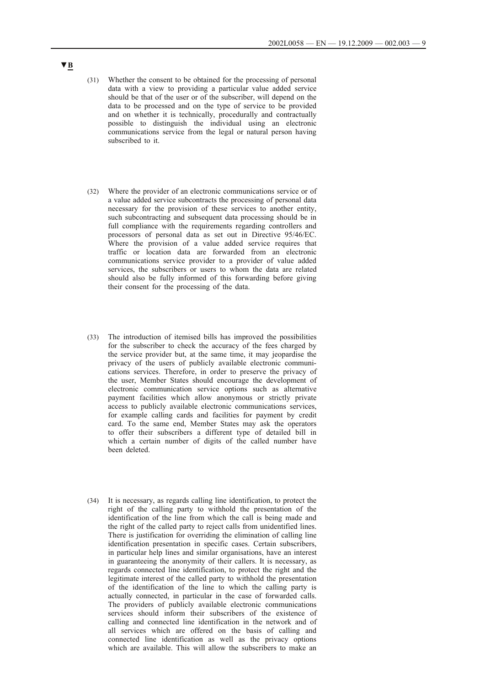- (31) Whether the consent to be obtained for the processing of personal data with a view to providing a particular value added service should be that of the user or of the subscriber, will depend on the data to be processed and on the type of service to be provided and on whether it is technically, procedurally and contractually possible to distinguish the individual using an electronic communications service from the legal or natural person having subscribed to it.
- (32) Where the provider of an electronic communications service or of a value added service subcontracts the processing of personal data necessary for the provision of these services to another entity, such subcontracting and subsequent data processing should be in full compliance with the requirements regarding controllers and processors of personal data as set out in Directive 95/46/EC. Where the provision of a value added service requires that traffic or location data are forwarded from an electronic communications service provider to a provider of value added services, the subscribers or users to whom the data are related should also be fully informed of this forwarding before giving their consent for the processing of the data.
- (33) The introduction of itemised bills has improved the possibilities for the subscriber to check the accuracy of the fees charged by the service provider but, at the same time, it may jeopardise the privacy of the users of publicly available electronic communications services. Therefore, in order to preserve the privacy of the user, Member States should encourage the development of electronic communication service options such as alternative payment facilities which allow anonymous or strictly private access to publicly available electronic communications services, for example calling cards and facilities for payment by credit card. To the same end, Member States may ask the operators to offer their subscribers a different type of detailed bill in which a certain number of digits of the called number have been deleted.
- (34) It is necessary, as regards calling line identification, to protect the right of the calling party to withhold the presentation of the identification of the line from which the call is being made and the right of the called party to reject calls from unidentified lines. There is justification for overriding the elimination of calling line identification presentation in specific cases. Certain subscribers, in particular help lines and similar organisations, have an interest in guaranteeing the anonymity of their callers. It is necessary, as regards connected line identification, to protect the right and the legitimate interest of the called party to withhold the presentation of the identification of the line to which the calling party is actually connected, in particular in the case of forwarded calls. The providers of publicly available electronic communications services should inform their subscribers of the existence of calling and connected line identification in the network and of all services which are offered on the basis of calling and connected line identification as well as the privacy options which are available. This will allow the subscribers to make an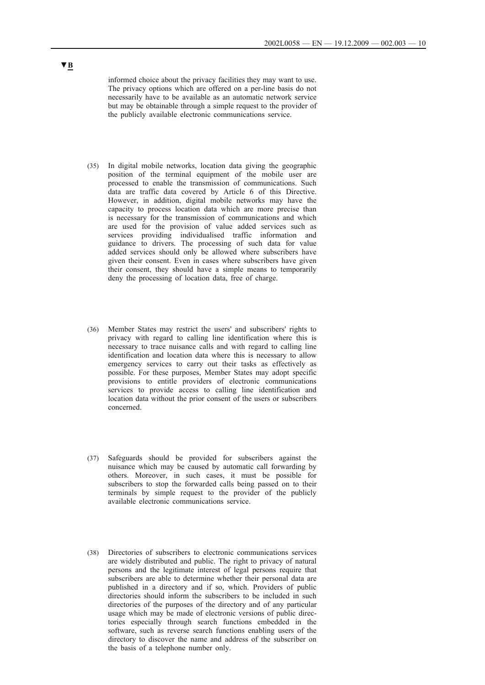informed choice about the privacy facilities they may want to use. The privacy options which are offered on a per-line basis do not necessarily have to be available as an automatic network service but may be obtainable through a simple request to the provider of the publicly available electronic communications service.

- (35) In digital mobile networks, location data giving the geographic position of the terminal equipment of the mobile user are processed to enable the transmission of communications. Such data are traffic data covered by Article 6 of this Directive. However, in addition, digital mobile networks may have the capacity to process location data which are more precise than is necessary for the transmission of communications and which are used for the provision of value added services such as services providing individualised traffic information and guidance to drivers. The processing of such data for value added services should only be allowed where subscribers have given their consent. Even in cases where subscribers have given their consent, they should have a simple means to temporarily deny the processing of location data, free of charge.
- (36) Member States may restrict the users' and subscribers' rights to privacy with regard to calling line identification where this is necessary to trace nuisance calls and with regard to calling line identification and location data where this is necessary to allow emergency services to carry out their tasks as effectively as possible. For these purposes, Member States may adopt specific provisions to entitle providers of electronic communications services to provide access to calling line identification and location data without the prior consent of the users or subscribers concerned.
- (37) Safeguards should be provided for subscribers against the nuisance which may be caused by automatic call forwarding by others. Moreover, in such cases, it must be possible for subscribers to stop the forwarded calls being passed on to their terminals by simple request to the provider of the publicly available electronic communications service.
- (38) Directories of subscribers to electronic communications services are widely distributed and public. The right to privacy of natural persons and the legitimate interest of legal persons require that subscribers are able to determine whether their personal data are published in a directory and if so, which. Providers of public directories should inform the subscribers to be included in such directories of the purposes of the directory and of any particular usage which may be made of electronic versions of public directories especially through search functions embedded in the software, such as reverse search functions enabling users of the directory to discover the name and address of the subscriber on the basis of a telephone number only.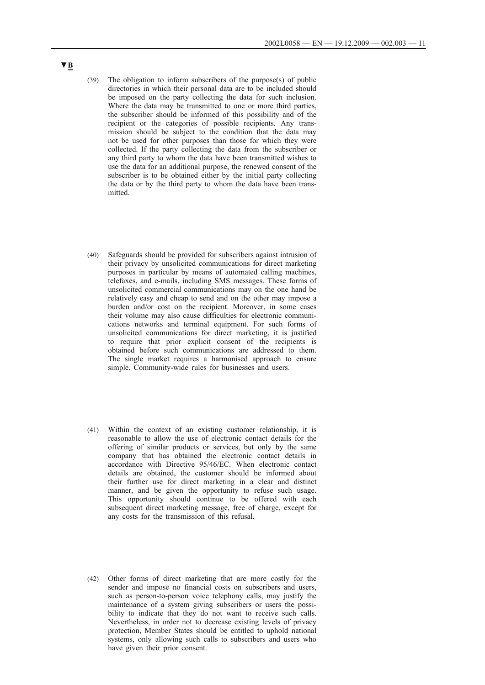- (39) The obligation to inform subscribers of the purpose(s) of public directories in which their personal data are to be included should be imposed on the party collecting the data for such inclusion. Where the data may be transmitted to one or more third parties, the subscriber should be informed of this possibility and of the recipient or the categories of possible recipients. Any transmission should be subject to the condition that the data may not be used for other purposes than those for which they were collected. If the party collecting the data from the subscriber or any third party to whom the data have been transmitted wishes to use the data for an additional purpose, the renewed consent of the subscriber is to be obtained either by the initial party collecting the data or by the third party to whom the data have been transmitted.
- (40) Safeguards should be provided for subscribers against intrusion of their privacy by unsolicited communications for direct marketing purposes in particular by means of automated calling machines, telefaxes, and e-mails, including SMS messages. These forms of unsolicited commercial communications may on the one hand be relatively easy and cheap to send and on the other may impose a burden and/or cost on the recipient. Moreover, in some cases their volume may also cause difficulties for electronic communications networks and terminal equipment. For such forms of unsolicited communications for direct marketing, it is justified to require that prior explicit consent of the recipients is obtained before such communications are addressed to them. The single market requires a harmonised approach to ensure simple, Community-wide rules for businesses and users.
- (41) Within the context of an existing customer relationship, it is reasonable to allow the use of electronic contact details for the offering of similar products or services, but only by the same company that has obtained the electronic contact details in accordance with Directive 95/46/EC. When electronic contact details are obtained, the customer should be informed about their further use for direct marketing in a clear and distinct manner, and be given the opportunity to refuse such usage. This opportunity should continue to be offered with each subsequent direct marketing message, free of charge, except for any costs for the transmission of this refusal.
- (42) Other forms of direct marketing that are more costly for the sender and impose no financial costs on subscribers and users, such as person-to-person voice telephony calls, may justify the maintenance of a system giving subscribers or users the possibility to indicate that they do not want to receive such calls. Nevertheless, in order not to decrease existing levels of privacy protection, Member States should be entitled to uphold national systems, only allowing such calls to subscribers and users who have given their prior consent.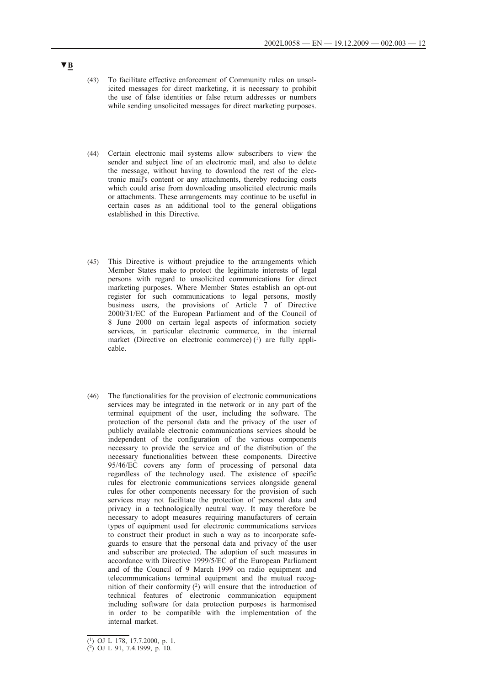- (43) To facilitate effective enforcement of Community rules on unsolicited messages for direct marketing, it is necessary to prohibit the use of false identities or false return addresses or numbers while sending unsolicited messages for direct marketing purposes.
- (44) Certain electronic mail systems allow subscribers to view the sender and subject line of an electronic mail, and also to delete the message, without having to download the rest of the electronic mail's content or any attachments, thereby reducing costs which could arise from downloading unsolicited electronic mails or attachments. These arrangements may continue to be useful in certain cases as an additional tool to the general obligations established in this Directive.
- (45) This Directive is without prejudice to the arrangements which Member States make to protect the legitimate interests of legal persons with regard to unsolicited communications for direct marketing purposes. Where Member States establish an opt-out register for such communications to legal persons, mostly business users, the provisions of Article  $\overline{7}$  of Directive 2000/31/EC of the European Parliament and of the Council of 8 June 2000 on certain legal aspects of information society services, in particular electronic commerce, in the internal market (Directive on electronic commerce)  $(1)$  are fully applicable.
- (46) The functionalities for the provision of electronic communications services may be integrated in the network or in any part of the terminal equipment of the user, including the software. The protection of the personal data and the privacy of the user of publicly available electronic communications services should be independent of the configuration of the various components necessary to provide the service and of the distribution of the necessary functionalities between these components. Directive 95/46/EC covers any form of processing of personal data regardless of the technology used. The existence of specific rules for electronic communications services alongside general rules for other components necessary for the provision of such services may not facilitate the protection of personal data and privacy in a technologically neutral way. It may therefore be necessary to adopt measures requiring manufacturers of certain types of equipment used for electronic communications services to construct their product in such a way as to incorporate safeguards to ensure that the personal data and privacy of the user and subscriber are protected. The adoption of such measures in accordance with Directive 1999/5/EC of the European Parliament and of the Council of 9 March 1999 on radio equipment and telecommunications terminal equipment and the mutual recognition of their conformity  $(2)$  will ensure that the introduction of technical features of electronic communication equipment including software for data protection purposes is harmonised in order to be compatible with the implementation of the internal market.

<sup>(1)</sup> OJ L 178, 17.7.2000, p. 1.

<sup>(2)</sup> OJ L 91, 7.4.1999, p. 10.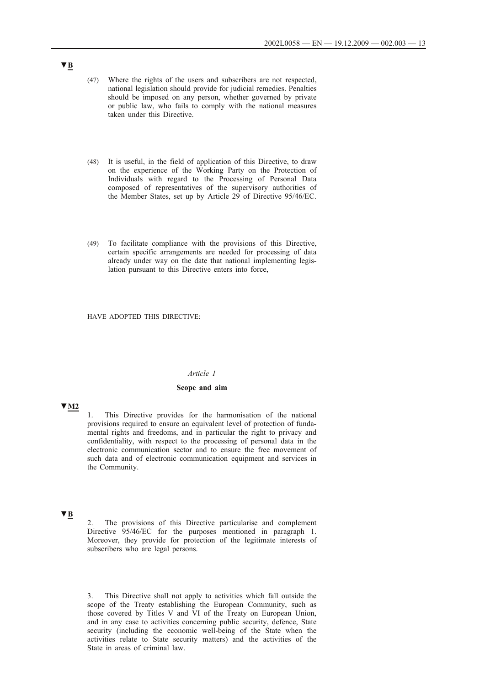- (47) Where the rights of the users and subscribers are not respected, national legislation should provide for judicial remedies. Penalties should be imposed on any person, whether governed by private or public law, who fails to comply with the national measures taken under this Directive.
- (48) It is useful, in the field of application of this Directive, to draw on the experience of the Working Party on the Protection of Individuals with regard to the Processing of Personal Data composed of representatives of the supervisory authorities of the Member States, set up by Article 29 of Directive 95/46/EC.
- (49) To facilitate compliance with the provisions of this Directive, certain specific arrangements are needed for processing of data already under way on the date that national implementing legislation pursuant to this Directive enters into force,

### HAVE ADOPTED THIS DIRECTIVE:

#### *Article 1*

### **Scope and aim**

### **▼M2**

1. This Directive provides for the harmonisation of the national provisions required to ensure an equivalent level of protection of fundamental rights and freedoms, and in particular the right to privacy and confidentiality, with respect to the processing of personal data in the electronic communication sector and to ensure the free movement of such data and of electronic communication equipment and services in the Community.

## **▼B**

2. The provisions of this Directive particularise and complement Directive  $95/46/EC$  for the purposes mentioned in paragraph 1. Moreover, they provide for protection of the legitimate interests of subscribers who are legal persons.

This Directive shall not apply to activities which fall outside the scope of the Treaty establishing the European Community, such as those covered by Titles V and VI of the Treaty on European Union, and in any case to activities concerning public security, defence, State security (including the economic well-being of the State when the activities relate to State security matters) and the activities of the State in areas of criminal law.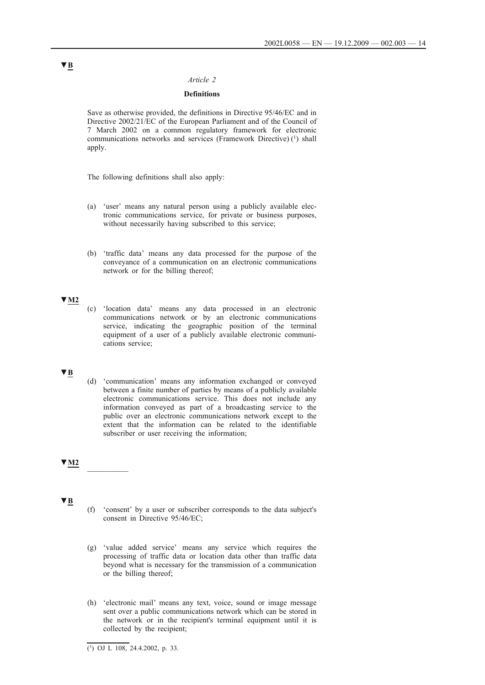### **Definitions**

Save as otherwise provided, the definitions in Directive 95/46/EC and in Directive 2002/21/EC of the European Parliament and of the Council of 7 March 2002 on a common regulatory framework for electronic communications networks and services (Framework Directive) (1) shall apply.

The following definitions shall also apply:

- (a) 'user' means any natural person using a publicly available electronic communications service, for private or business purposes, without necessarily having subscribed to this service;
- (b) 'traffic data' means any data processed for the purpose of the conveyance of a communication on an electronic communications network or for the billing thereof;

## **▼M2**

(c) 'location data' means any data processed in an electronic communications network or by an electronic communications service, indicating the geographic position of the terminal equipment of a user of a publicly available electronic communications service;

## **▼B**

(d) 'communication' means any information exchanged or conveyed between a finite number of parties by means of a publicly available electronic communications service. This does not include any information conveyed as part of a broadcasting service to the public over an electronic communications network except to the extent that the information can be related to the identifiable subscriber or user receiving the information;

### **▼M2** \_\_\_\_\_\_\_\_\_\_

### **▼B**

- (f) 'consent' by a user or subscriber corresponds to the data subject's consent in Directive 95/46/EC;
- (g) 'value added service' means any service which requires the processing of traffic data or location data other than traffic data beyond what is necessary for the transmission of a communication or the billing thereof;
- (h) 'electronic mail' means any text, voice, sound or image message sent over a public communications network which can be stored in the network or in the recipient's terminal equipment until it is collected by the recipient;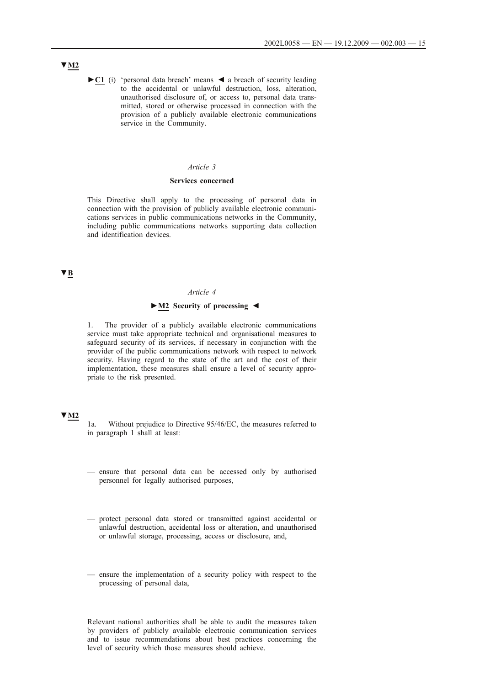**►C1** (i) 'personal data breach' means ◄ a breach of security leading to the accidental or unlawful destruction, loss, alteration, unauthorised disclosure of, or access to, personal data transmitted, stored or otherwise processed in connection with the provision of a publicly available electronic communications service in the Community.

### *Article 3*

#### **Services concerned**

This Directive shall apply to the processing of personal data in connection with the provision of publicly available electronic communications services in public communications networks in the Community, including public communications networks supporting data collection and identification devices.

### **▼B**

### *Article 4*

### **►M2 Security of processing ◄**

1. The provider of a publicly available electronic communications service must take appropriate technical and organisational measures to safeguard security of its services, if necessary in conjunction with the provider of the public communications network with respect to network security. Having regard to the state of the art and the cost of their implementation, these measures shall ensure a level of security appropriate to the risk presented.

### **▼M2**

1a. Without prejudice to Directive 95/46/EC, the measures referred to in paragraph 1 shall at least:

- ensure that personal data can be accessed only by authorised personnel for legally authorised purposes,
- protect personal data stored or transmitted against accidental or unlawful destruction, accidental loss or alteration, and unauthorised or unlawful storage, processing, access or disclosure, and,
- ensure the implementation of a security policy with respect to the processing of personal data,

Relevant national authorities shall be able to audit the measures taken by providers of publicly available electronic communication services and to issue recommendations about best practices concerning the level of security which those measures should achieve.

## **▼M2**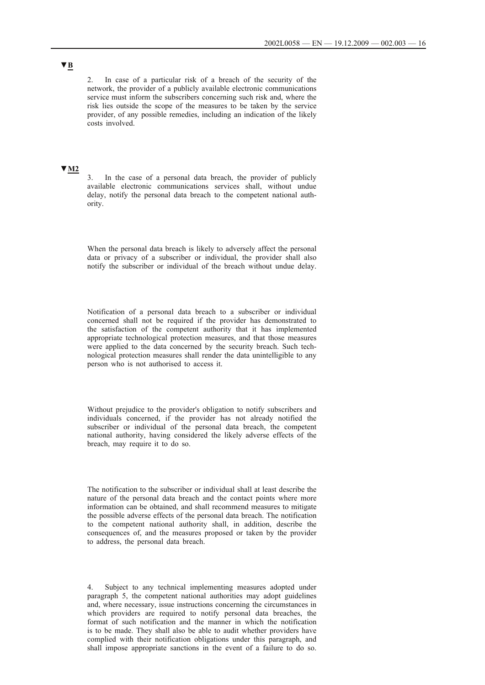2. In case of a particular risk of a breach of the security of the network, the provider of a publicly available electronic communications service must inform the subscribers concerning such risk and, where the risk lies outside the scope of the measures to be taken by the service provider, of any possible remedies, including an indication of the likely costs involved.

## **▼M2**

3. In the case of a personal data breach, the provider of publicly available electronic communications services shall, without undue delay, notify the personal data breach to the competent national authority.

When the personal data breach is likely to adversely affect the personal data or privacy of a subscriber or individual, the provider shall also notify the subscriber or individual of the breach without undue delay.

Notification of a personal data breach to a subscriber or individual concerned shall not be required if the provider has demonstrated to the satisfaction of the competent authority that it has implemented appropriate technological protection measures, and that those measures were applied to the data concerned by the security breach. Such technological protection measures shall render the data unintelligible to any person who is not authorised to access it.

Without prejudice to the provider's obligation to notify subscribers and individuals concerned, if the provider has not already notified the subscriber or individual of the personal data breach, the competent national authority, having considered the likely adverse effects of the breach, may require it to do so.

The notification to the subscriber or individual shall at least describe the nature of the personal data breach and the contact points where more information can be obtained, and shall recommend measures to mitigate the possible adverse effects of the personal data breach. The notification to the competent national authority shall, in addition, describe the consequences of, and the measures proposed or taken by the provider to address, the personal data breach.

Subject to any technical implementing measures adopted under paragraph 5, the competent national authorities may adopt guidelines and, where necessary, issue instructions concerning the circumstances in which providers are required to notify personal data breaches, the format of such notification and the manner in which the notification is to be made. They shall also be able to audit whether providers have complied with their notification obligations under this paragraph, and shall impose appropriate sanctions in the event of a failure to do so.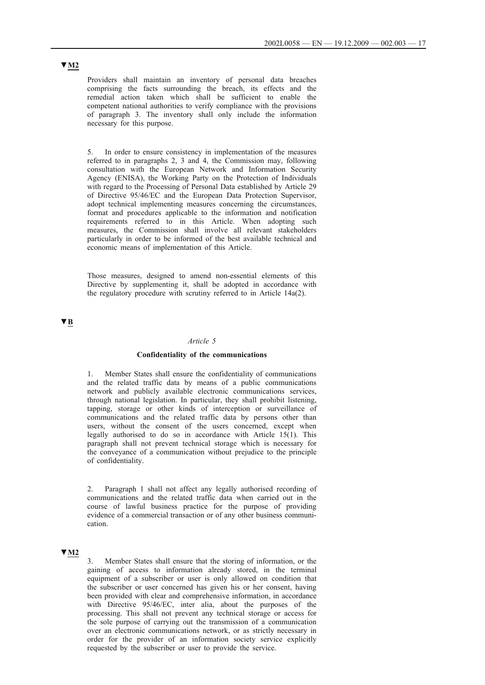Providers shall maintain an inventory of personal data breaches comprising the facts surrounding the breach, its effects and the remedial action taken which shall be sufficient to enable the competent national authorities to verify compliance with the provisions of paragraph 3. The inventory shall only include the information necessary for this purpose.

5. In order to ensure consistency in implementation of the measures referred to in paragraphs 2, 3 and 4, the Commission may, following consultation with the European Network and Information Security Agency (ENISA), the Working Party on the Protection of Individuals with regard to the Processing of Personal Data established by Article 29 of Directive 95/46/EC and the European Data Protection Supervisor, adopt technical implementing measures concerning the circumstances, format and procedures applicable to the information and notification requirements referred to in this Article. When adopting such measures, the Commission shall involve all relevant stakeholders particularly in order to be informed of the best available technical and economic means of implementation of this Article.

Those measures, designed to amend non-essential elements of this Directive by supplementing it, shall be adopted in accordance with the regulatory procedure with scrutiny referred to in Article 14a(2).

### **▼B**

#### *Article 5*

#### **Confidentiality of the communications**

1. Member States shall ensure the confidentiality of communications and the related traffic data by means of a public communications network and publicly available electronic communications services, through national legislation. In particular, they shall prohibit listening, tapping, storage or other kinds of interception or surveillance of communications and the related traffic data by persons other than users, without the consent of the users concerned, except when legally authorised to do so in accordance with Article  $15(1)$ . This paragraph shall not prevent technical storage which is necessary for the conveyance of a communication without prejudice to the principle of confidentiality.

2. Paragraph 1 shall not affect any legally authorised recording of communications and the related traffic data when carried out in the course of lawful business practice for the purpose of providing evidence of a commercial transaction or of any other business communication.

### **▼M2**

3. Member States shall ensure that the storing of information, or the gaining of access to information already stored, in the terminal equipment of a subscriber or user is only allowed on condition that the subscriber or user concerned has given his or her consent, having been provided with clear and comprehensive information, in accordance with Directive 95/46/EC, inter alia, about the purposes of the processing. This shall not prevent any technical storage or access for the sole purpose of carrying out the transmission of a communication over an electronic communications network, or as strictly necessary in order for the provider of an information society service explicitly requested by the subscriber or user to provide the service.

## **▼M2**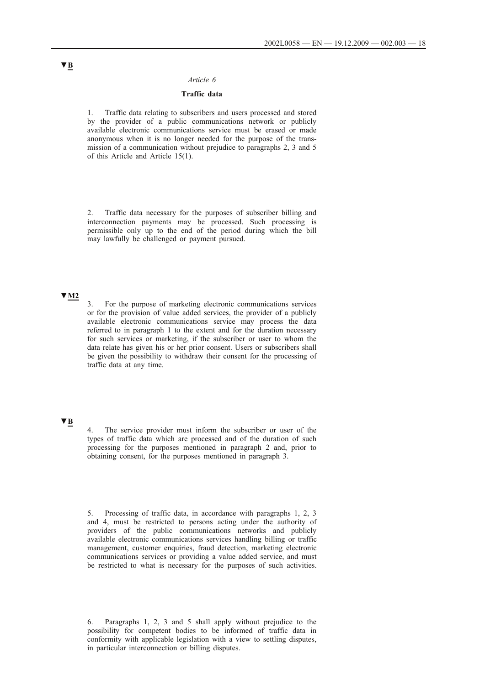### **Traffic data**

1. Traffic data relating to subscribers and users processed and stored by the provider of a public communications network or publicly available electronic communications service must be erased or made anonymous when it is no longer needed for the purpose of the transmission of a communication without prejudice to paragraphs 2, 3 and 5 of this Article and Article 15(1).

2. Traffic data necessary for the purposes of subscriber billing and interconnection payments may be processed. Such processing is permissible only up to the end of the period during which the bill may lawfully be challenged or payment pursued.

### **▼M2**

3. For the purpose of marketing electronic communications services or for the provision of value added services, the provider of a publicly available electronic communications service may process the data referred to in paragraph 1 to the extent and for the duration necessary for such services or marketing, if the subscriber or user to whom the data relate has given his or her prior consent. Users or subscribers shall be given the possibility to withdraw their consent for the processing of traffic data at any time.

### **▼B**

4. The service provider must inform the subscriber or user of the types of traffic data which are processed and of the duration of such processing for the purposes mentioned in paragraph 2 and, prior to obtaining consent, for the purposes mentioned in paragraph 3.

5. Processing of traffic data, in accordance with paragraphs 1, 2, 3 and 4, must be restricted to persons acting under the authority of providers of the public communications networks and publicly available electronic communications services handling billing or traffic management, customer enquiries, fraud detection, marketing electronic communications services or providing a value added service, and must be restricted to what is necessary for the purposes of such activities.

6. Paragraphs 1, 2, 3 and 5 shall apply without prejudice to the possibility for competent bodies to be informed of traffic data in conformity with applicable legislation with a view to settling disputes, in particular interconnection or billing disputes.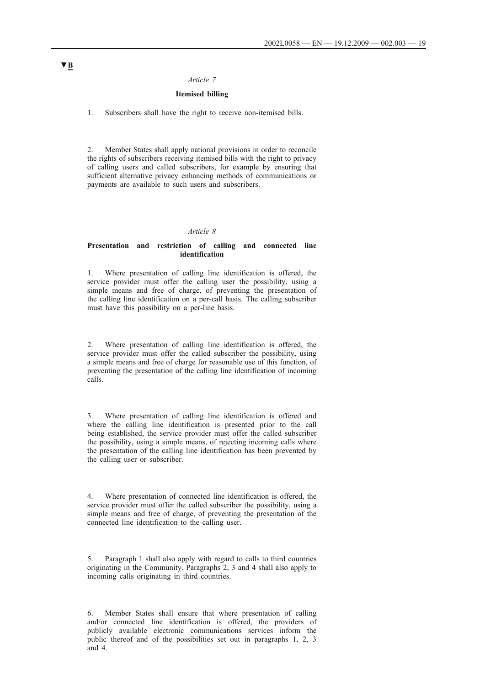### **Itemised billing**

1. Subscribers shall have the right to receive non-itemised bills.

2. Member States shall apply national provisions in order to reconcile the rights of subscribers receiving itemised bills with the right to privacy of calling users and called subscribers, for example by ensuring that sufficient alternative privacy enhancing methods of communications or payments are available to such users and subscribers.

#### *Article 8*

### **Presentation and restriction of calling and connected line identification**

1. Where presentation of calling line identification is offered, the service provider must offer the calling user the possibility, using a simple means and free of charge, of preventing the presentation of the calling line identification on a per-call basis. The calling subscriber must have this possibility on a per-line basis.

2. Where presentation of calling line identification is offered, the service provider must offer the called subscriber the possibility, using a simple means and free of charge for reasonable use of this function, of preventing the presentation of the calling line identification of incoming calls.

3. Where presentation of calling line identification is offered and where the calling line identification is presented prior to the call being established, the service provider must offer the called subscriber the possibility, using a simple means, of rejecting incoming calls where the presentation of the calling line identification has been prevented by the calling user or subscriber.

4. Where presentation of connected line identification is offered, the service provider must offer the called subscriber the possibility, using a simple means and free of charge, of preventing the presentation of the connected line identification to the calling user.

5. Paragraph 1 shall also apply with regard to calls to third countries originating in the Community. Paragraphs 2, 3 and 4 shall also apply to incoming calls originating in third countries.

6. Member States shall ensure that where presentation of calling and/or connected line identification is offered, the providers of publicly available electronic communications services inform the public thereof and of the possibilities set out in paragraphs 1, 2, 3 and 4.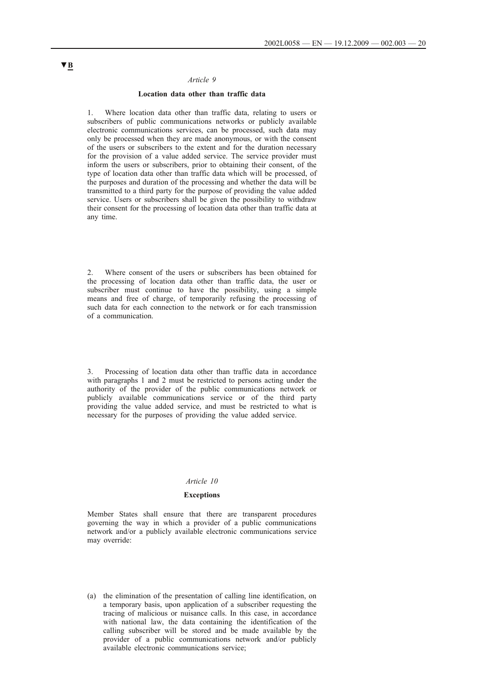### **Location data other than traffic data**

1. Where location data other than traffic data, relating to users or subscribers of public communications networks or publicly available electronic communications services, can be processed, such data may only be processed when they are made anonymous, or with the consent of the users or subscribers to the extent and for the duration necessary for the provision of a value added service. The service provider must inform the users or subscribers, prior to obtaining their consent, of the type of location data other than traffic data which will be processed, of the purposes and duration of the processing and whether the data will be transmitted to a third party for the purpose of providing the value added service. Users or subscribers shall be given the possibility to withdraw their consent for the processing of location data other than traffic data at any time.

2. Where consent of the users or subscribers has been obtained for the processing of location data other than traffic data, the user or subscriber must continue to have the possibility, using a simple means and free of charge, of temporarily refusing the processing of such data for each connection to the network or for each transmission of a communication.

3. Processing of location data other than traffic data in accordance with paragraphs 1 and 2 must be restricted to persons acting under the authority of the provider of the public communications network or publicly available communications service or of the third party providing the value added service, and must be restricted to what is necessary for the purposes of providing the value added service.

#### *Article 10*

#### **Exceptions**

Member States shall ensure that there are transparent procedures governing the way in which a provider of a public communications network and/or a publicly available electronic communications service may override:

(a) the elimination of the presentation of calling line identification, on a temporary basis, upon application of a subscriber requesting the tracing of malicious or nuisance calls. In this case, in accordance with national law, the data containing the identification of the calling subscriber will be stored and be made available by the provider of a public communications network and/or publicly available electronic communications service;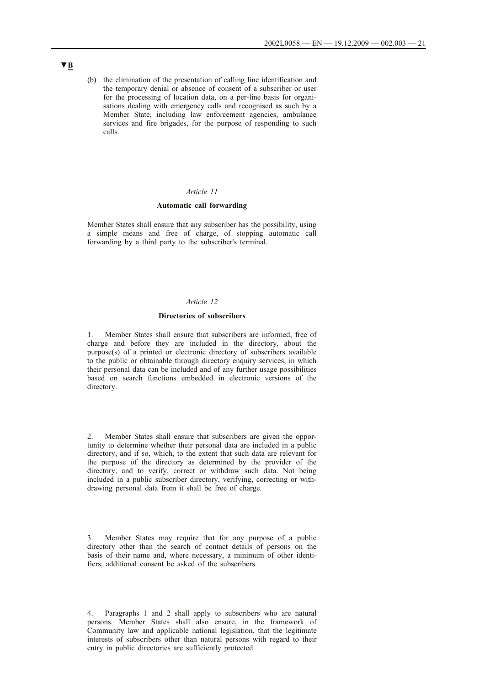(b) the elimination of the presentation of calling line identification and the temporary denial or absence of consent of a subscriber or user for the processing of location data, on a per-line basis for organisations dealing with emergency calls and recognised as such by a Member State, including law enforcement agencies, ambulance services and fire brigades, for the purpose of responding to such calls.

### *Article 11*

#### **Automatic call forwarding**

Member States shall ensure that any subscriber has the possibility, using a simple means and free of charge, of stopping automatic call forwarding by a third party to the subscriber's terminal.

### *Article 12*

### **Directories of subscribers**

1. Member States shall ensure that subscribers are informed, free of charge and before they are included in the directory, about the purpose(s) of a printed or electronic directory of subscribers available to the public or obtainable through directory enquiry services, in which their personal data can be included and of any further usage possibilities based on search functions embedded in electronic versions of the directory.

2. Member States shall ensure that subscribers are given the opportunity to determine whether their personal data are included in a public directory, and if so, which, to the extent that such data are relevant for the purpose of the directory as determined by the provider of the directory, and to verify, correct or withdraw such data. Not being included in a public subscriber directory, verifying, correcting or withdrawing personal data from it shall be free of charge.

Member States may require that for any purpose of a public directory other than the search of contact details of persons on the basis of their name and, where necessary, a minimum of other identifiers, additional consent be asked of the subscribers.

4. Paragraphs 1 and 2 shall apply to subscribers who are natural persons. Member States shall also ensure, in the framework of Community law and applicable national legislation, that the legitimate interests of subscribers other than natural persons with regard to their entry in public directories are sufficiently protected.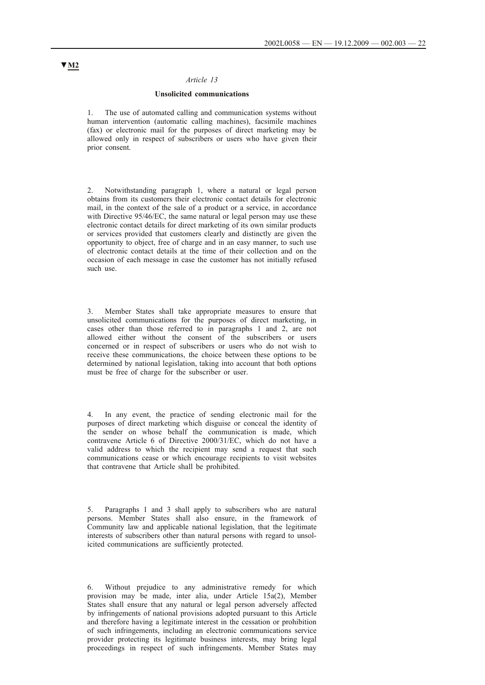### **Unsolicited communications**

1. The use of automated calling and communication systems without human intervention (automatic calling machines), facsimile machines (fax) or electronic mail for the purposes of direct marketing may be allowed only in respect of subscribers or users who have given their prior consent.

2. Notwithstanding paragraph 1, where a natural or legal person obtains from its customers their electronic contact details for electronic mail, in the context of the sale of a product or a service, in accordance with Directive 95/46/EC, the same natural or legal person may use these electronic contact details for direct marketing of its own similar products or services provided that customers clearly and distinctly are given the opportunity to object, free of charge and in an easy manner, to such use of electronic contact details at the time of their collection and on the occasion of each message in case the customer has not initially refused such use.

3. Member States shall take appropriate measures to ensure that unsolicited communications for the purposes of direct marketing, in cases other than those referred to in paragraphs 1 and 2, are not allowed either without the consent of the subscribers or users concerned or in respect of subscribers or users who do not wish to receive these communications, the choice between these options to be determined by national legislation, taking into account that both options must be free of charge for the subscriber or user.

In any event, the practice of sending electronic mail for the purposes of direct marketing which disguise or conceal the identity of the sender on whose behalf the communication is made, which contravene Article 6 of Directive 2000/31/EC, which do not have a valid address to which the recipient may send a request that such communications cease or which encourage recipients to visit websites that contravene that Article shall be prohibited.

5. Paragraphs 1 and 3 shall apply to subscribers who are natural persons. Member States shall also ensure, in the framework of Community law and applicable national legislation, that the legitimate interests of subscribers other than natural persons with regard to unsolicited communications are sufficiently protected.

6. Without prejudice to any administrative remedy for which provision may be made, inter alia, under Article 15a(2), Member States shall ensure that any natural or legal person adversely affected by infringements of national provisions adopted pursuant to this Article and therefore having a legitimate interest in the cessation or prohibition of such infringements, including an electronic communications service provider protecting its legitimate business interests, may bring legal proceedings in respect of such infringements. Member States may

## **▼M2**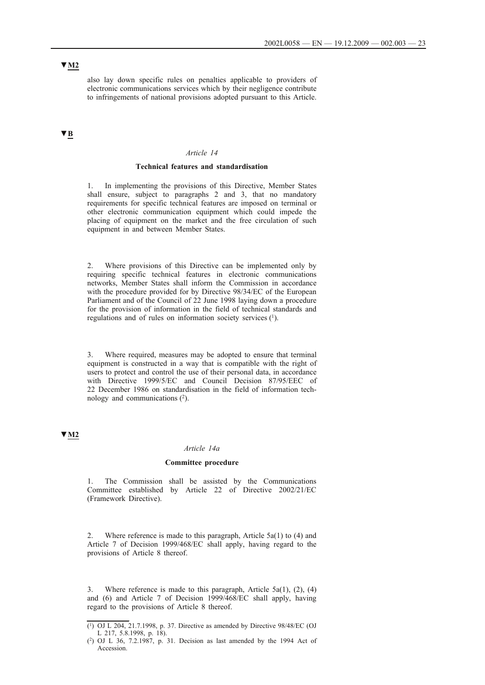### **▼M2**

also lay down specific rules on penalties applicable to providers of electronic communications services which by their negligence contribute to infringements of national provisions adopted pursuant to this Article.

### **▼B**

#### *Article 14*

#### **Technical features and standardisation**

1. In implementing the provisions of this Directive, Member States shall ensure, subject to paragraphs 2 and 3, that no mandatory requirements for specific technical features are imposed on terminal or other electronic communication equipment which could impede the placing of equipment on the market and the free circulation of such equipment in and between Member States.

2. Where provisions of this Directive can be implemented only by requiring specific technical features in electronic communications networks, Member States shall inform the Commission in accordance with the procedure provided for by Directive 98/34/EC of the European Parliament and of the Council of 22 June 1998 laying down a procedure for the provision of information in the field of technical standards and regulations and of rules on information society services (1).

3. Where required, measures may be adopted to ensure that terminal equipment is constructed in a way that is compatible with the right of users to protect and control the use of their personal data, in accordance with Directive 1999/5/EC and Council Decision 87/95/EEC of 22 December 1986 on standardisation in the field of information technology and communications (2).

### **▼M2**

### *Article 14a*

#### **Committee procedure**

1. The Commission shall be assisted by the Communications Committee established by Article 22 of Directive 2002/21/EC (Framework Directive).

2. Where reference is made to this paragraph, Article  $5a(1)$  to (4) and Article 7 of Decision 1999/468/EC shall apply, having regard to the provisions of Article 8 thereof.

3. Where reference is made to this paragraph, Article  $5a(1)$ ,  $(2)$ ,  $(4)$ and (6) and Article 7 of Decision 1999/468/EC shall apply, having regard to the provisions of Article 8 thereof.

 $(1)$  OJ L 204, 21.7.1998, p. 37. Directive as amended by Directive 98/48/EC (OJ L 217, 5.8.1998, p. 18).

<sup>(2)</sup> OJ L 36, 7.2.1987, p. 31. Decision as last amended by the 1994 Act of Accession.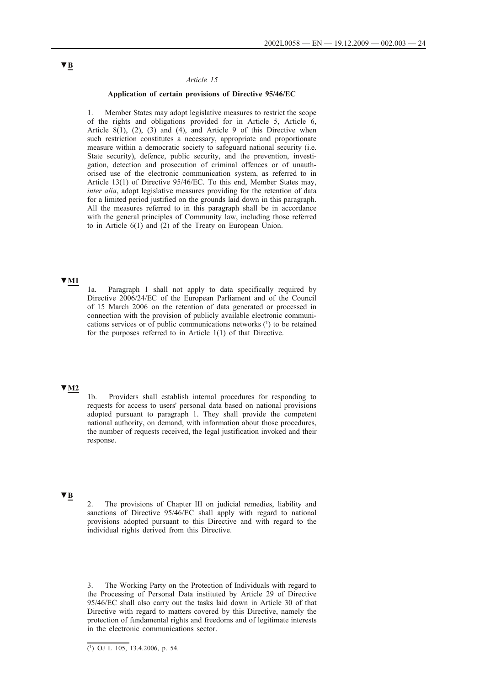### **Application of certain provisions of Directive 95/46/EC**

1. Member States may adopt legislative measures to restrict the scope of the rights and obligations provided for in Article 5, Article 6, Article  $8(1)$ ,  $(2)$ ,  $(3)$  and  $(4)$ , and Article 9 of this Directive when such restriction constitutes a necessary, appropriate and proportionate measure within a democratic society to safeguard national security (i.e. State security), defence, public security, and the prevention, investigation, detection and prosecution of criminal offences or of unauthorised use of the electronic communication system, as referred to in Article 13(1) of Directive 95/46/EC. To this end, Member States may, *inter alia*, adopt legislative measures providing for the retention of data for a limited period justified on the grounds laid down in this paragraph. All the measures referred to in this paragraph shall be in accordance with the general principles of Community law, including those referred to in Article 6(1) and (2) of the Treaty on European Union.

## **▼M1**

1a. Paragraph 1 shall not apply to data specifically required by Directive 2006/24/EC of the European Parliament and of the Council of 15 March 2006 on the retention of data generated or processed in connection with the provision of publicly available electronic communications services or of public communications networks  $(1)$  to be retained for the purposes referred to in Article 1(1) of that Directive.

### **▼M2**

1b. Providers shall establish internal procedures for responding to requests for access to users' personal data based on national provisions adopted pursuant to paragraph 1. They shall provide the competent national authority, on demand, with information about those procedures, the number of requests received, the legal justification invoked and their response.

## **▼B**

2. The provisions of Chapter III on judicial remedies, liability and sanctions of Directive 95/46/EC shall apply with regard to national provisions adopted pursuant to this Directive and with regard to the individual rights derived from this Directive.

3. The Working Party on the Protection of Individuals with regard to the Processing of Personal Data instituted by Article 29 of Directive 95/46/EC shall also carry out the tasks laid down in Article 30 of that Directive with regard to matters covered by this Directive, namely the protection of fundamental rights and freedoms and of legitimate interests in the electronic communications sector.

 $\overline{(^1)}$  OJ L 105, 13.4.2006, p. 54.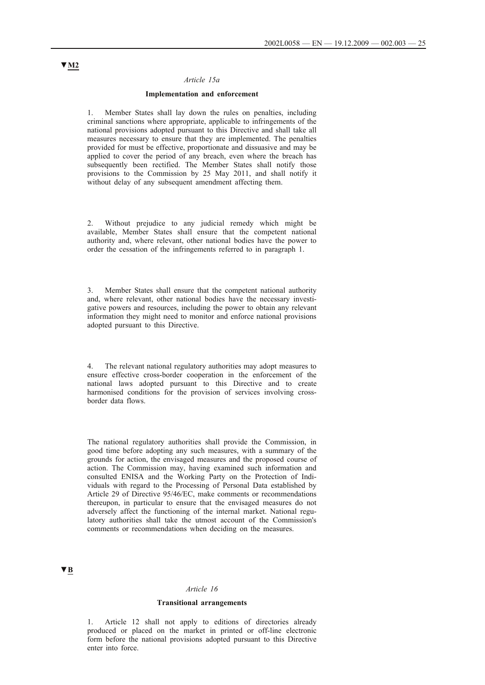#### *Article 15a*

#### **Implementation and enforcement**

1. Member States shall lay down the rules on penalties, including criminal sanctions where appropriate, applicable to infringements of the national provisions adopted pursuant to this Directive and shall take all measures necessary to ensure that they are implemented. The penalties provided for must be effective, proportionate and dissuasive and may be applied to cover the period of any breach, even where the breach has subsequently been rectified. The Member States shall notify those provisions to the Commission by 25 May 2011, and shall notify it without delay of any subsequent amendment affecting them.

2. Without prejudice to any judicial remedy which might be available, Member States shall ensure that the competent national authority and, where relevant, other national bodies have the power to order the cessation of the infringements referred to in paragraph 1.

3. Member States shall ensure that the competent national authority and, where relevant, other national bodies have the necessary investigative powers and resources, including the power to obtain any relevant information they might need to monitor and enforce national provisions adopted pursuant to this Directive.

4. The relevant national regulatory authorities may adopt measures to ensure effective cross-border cooperation in the enforcement of the national laws adopted pursuant to this Directive and to create harmonised conditions for the provision of services involving crossborder data flows.

The national regulatory authorities shall provide the Commission, in good time before adopting any such measures, with a summary of the grounds for action, the envisaged measures and the proposed course of action. The Commission may, having examined such information and consulted ENISA and the Working Party on the Protection of Individuals with regard to the Processing of Personal Data established by Article 29 of Directive 95/46/EC, make comments or recommendations thereupon, in particular to ensure that the envisaged measures do not adversely affect the functioning of the internal market. National regulatory authorities shall take the utmost account of the Commission's comments or recommendations when deciding on the measures.

### **▼B**

#### *Article 16*

#### **Transitional arrangements**

1. Article 12 shall not apply to editions of directories already produced or placed on the market in printed or off-line electronic form before the national provisions adopted pursuant to this Directive enter into force.

### **▼M2**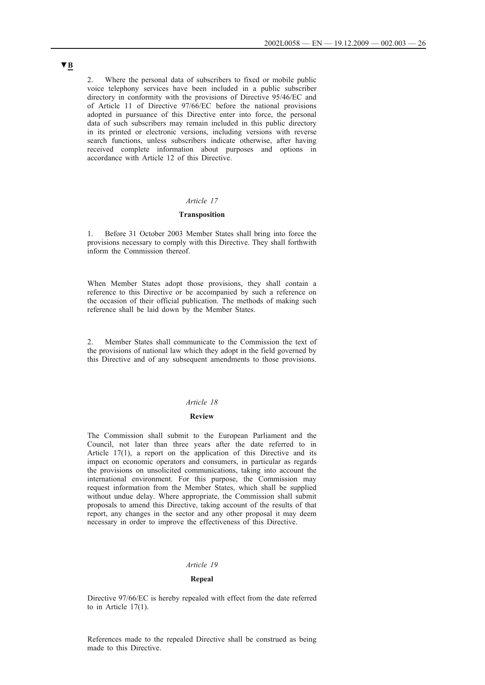2. Where the personal data of subscribers to fixed or mobile public voice telephony services have been included in a public subscriber directory in conformity with the provisions of Directive 95/46/EC and of Article 11 of Directive 97/66/EC before the national provisions adopted in pursuance of this Directive enter into force, the personal data of such subscribers may remain included in this public directory in its printed or electronic versions, including versions with reverse search functions, unless subscribers indicate otherwise, after having received complete information about purposes and options in accordance with Article 12 of this Directive.

#### *Article 17*

### **Transposition**

1. Before 31 October 2003 Member States shall bring into force the provisions necessary to comply with this Directive. They shall forthwith inform the Commission thereof.

When Member States adopt those provisions, they shall contain a reference to this Directive or be accompanied by such a reference on the occasion of their official publication. The methods of making such reference shall be laid down by the Member States.

2. Member States shall communicate to the Commission the text of the provisions of national law which they adopt in the field governed by this Directive and of any subsequent amendments to those provisions.

#### *Article 18*

### **Review**

The Commission shall submit to the European Parliament and the Council, not later than three years after the date referred to in Article 17(1), a report on the application of this Directive and its impact on economic operators and consumers, in particular as regards the provisions on unsolicited communications, taking into account the international environment. For this purpose, the Commission may request information from the Member States, which shall be supplied without undue delay. Where appropriate, the Commission shall submit proposals to amend this Directive, taking account of the results of that report, any changes in the sector and any other proposal it may deem necessary in order to improve the effectiveness of this Directive.

### *Article 19*

#### **Repeal**

Directive 97/66/EC is hereby repealed with effect from the date referred to in Article 17(1).

References made to the repealed Directive shall be construed as being made to this Directive.